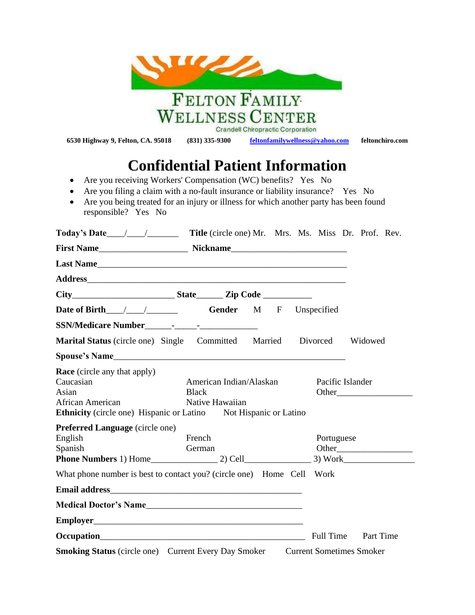|                                                                                                                                                                                                                                                                       | <b>FELTON FAMILY</b>                                       |                                   |                                 |                 |
|-----------------------------------------------------------------------------------------------------------------------------------------------------------------------------------------------------------------------------------------------------------------------|------------------------------------------------------------|-----------------------------------|---------------------------------|-----------------|
|                                                                                                                                                                                                                                                                       |                                                            |                                   |                                 |                 |
|                                                                                                                                                                                                                                                                       | WELLNESS CENTER                                            | Crandell Chiropractic Corporation |                                 |                 |
| 6530 Highway 9, Felton, CA. 95018                                                                                                                                                                                                                                     | $(831)$ 335-9300                                           | feltonfamilywellness@yahoo.com    |                                 | feltonchiro.com |
| Are you receiving Workers' Compensation (WC) benefits? Yes No<br>٠<br>Are you filing a claim with a no-fault insurance or liability insurance? Yes No<br>Are you being treated for an injury or illness for which another party has been found<br>responsible? Yes No | <b>Confidential Patient Information</b>                    |                                   |                                 |                 |
|                                                                                                                                                                                                                                                                       |                                                            |                                   |                                 |                 |
|                                                                                                                                                                                                                                                                       |                                                            |                                   |                                 |                 |
|                                                                                                                                                                                                                                                                       |                                                            |                                   |                                 |                 |
|                                                                                                                                                                                                                                                                       |                                                            |                                   |                                 |                 |
|                                                                                                                                                                                                                                                                       |                                                            |                                   |                                 |                 |
|                                                                                                                                                                                                                                                                       |                                                            |                                   |                                 |                 |
|                                                                                                                                                                                                                                                                       |                                                            |                                   |                                 |                 |
| Marital Status (circle one) Single Committed Married Divorced                                                                                                                                                                                                         |                                                            |                                   |                                 | Widowed         |
|                                                                                                                                                                                                                                                                       |                                                            |                                   |                                 |                 |
| <b>Race</b> (circle any that apply)<br>Caucasian<br>Asian<br>African American<br><b>Ethnicity</b> (circle one) Hispanic or Latino                                                                                                                                     | American Indian/Alaskan<br><b>Black</b><br>Native Hawaiian | Not Hispanic or Latino            | Pacific Islander                |                 |
| <b>Preferred Language (circle one)</b><br>English<br>Spanish                                                                                                                                                                                                          | French<br>German                                           |                                   | Portuguese                      |                 |
| What phone number is best to contact you? (circle one) Home Cell Work                                                                                                                                                                                                 |                                                            |                                   |                                 |                 |
|                                                                                                                                                                                                                                                                       |                                                            |                                   |                                 |                 |
|                                                                                                                                                                                                                                                                       |                                                            |                                   |                                 |                 |
|                                                                                                                                                                                                                                                                       |                                                            |                                   |                                 |                 |
|                                                                                                                                                                                                                                                                       |                                                            |                                   | <b>Full Time</b>                | Part Time       |
| <b>Smoking Status</b> (circle one) Current Every Day Smoker                                                                                                                                                                                                           |                                                            |                                   | <b>Current Sometimes Smoker</b> |                 |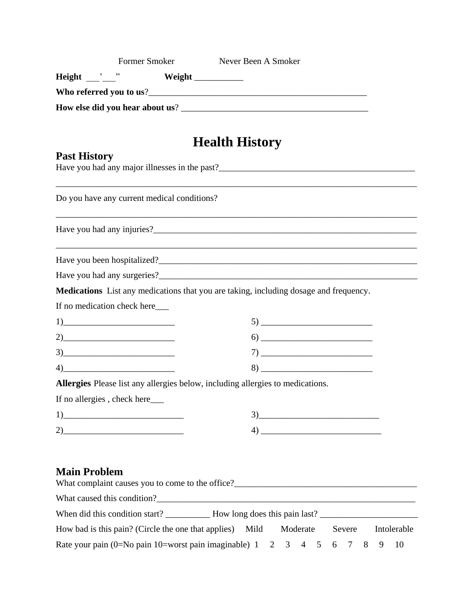| Former Smoker                                                                                                                                                                                                                | Never Been A Smoker                                                                                                                                                                                                                                                                                                                                                                                                                                                                                                                                                                   |
|------------------------------------------------------------------------------------------------------------------------------------------------------------------------------------------------------------------------------|---------------------------------------------------------------------------------------------------------------------------------------------------------------------------------------------------------------------------------------------------------------------------------------------------------------------------------------------------------------------------------------------------------------------------------------------------------------------------------------------------------------------------------------------------------------------------------------|
|                                                                                                                                                                                                                              |                                                                                                                                                                                                                                                                                                                                                                                                                                                                                                                                                                                       |
|                                                                                                                                                                                                                              |                                                                                                                                                                                                                                                                                                                                                                                                                                                                                                                                                                                       |
|                                                                                                                                                                                                                              |                                                                                                                                                                                                                                                                                                                                                                                                                                                                                                                                                                                       |
|                                                                                                                                                                                                                              |                                                                                                                                                                                                                                                                                                                                                                                                                                                                                                                                                                                       |
|                                                                                                                                                                                                                              | <b>Health History</b>                                                                                                                                                                                                                                                                                                                                                                                                                                                                                                                                                                 |
| <b>Past History</b>                                                                                                                                                                                                          |                                                                                                                                                                                                                                                                                                                                                                                                                                                                                                                                                                                       |
|                                                                                                                                                                                                                              |                                                                                                                                                                                                                                                                                                                                                                                                                                                                                                                                                                                       |
|                                                                                                                                                                                                                              |                                                                                                                                                                                                                                                                                                                                                                                                                                                                                                                                                                                       |
| Do you have any current medical conditions?                                                                                                                                                                                  |                                                                                                                                                                                                                                                                                                                                                                                                                                                                                                                                                                                       |
|                                                                                                                                                                                                                              |                                                                                                                                                                                                                                                                                                                                                                                                                                                                                                                                                                                       |
|                                                                                                                                                                                                                              |                                                                                                                                                                                                                                                                                                                                                                                                                                                                                                                                                                                       |
|                                                                                                                                                                                                                              |                                                                                                                                                                                                                                                                                                                                                                                                                                                                                                                                                                                       |
|                                                                                                                                                                                                                              | Medications List any medications that you are taking, including dosage and frequency.                                                                                                                                                                                                                                                                                                                                                                                                                                                                                                 |
| If no medication check here___                                                                                                                                                                                               |                                                                                                                                                                                                                                                                                                                                                                                                                                                                                                                                                                                       |
| $\boxed{1}$                                                                                                                                                                                                                  | $\begin{array}{c} \n5) \end{array}$                                                                                                                                                                                                                                                                                                                                                                                                                                                                                                                                                   |
| $2)$ and $2$ and $2$ and $2$ and $2$ and $2$ and $2$ and $2$ and $2$ and $2$ and $2$ and $2$ and $2$ and $2$ and $2$ and $2$ and $2$ and $2$ and $2$ and $2$ and $2$ and $2$ and $2$ and $2$ and $2$ and $2$ and $2$ and $2$ | $\begin{picture}(60,6) \put(0,0){\vector(0,0){100}} \put(15,0){\vector(0,0){100}} \put(15,0){\vector(0,0){100}} \put(15,0){\vector(0,0){100}} \put(15,0){\vector(0,0){100}} \put(15,0){\vector(0,0){100}} \put(15,0){\vector(0,0){100}} \put(15,0){\vector(0,0){100}} \put(15,0){\vector(0,0){100}} \put(15,0){\vector(0,0){100}} \put(15,0){\vector(0,0){100}} \put$                                                                                                                                                                                                                 |
| $\begin{array}{c} 3) \end{array}$                                                                                                                                                                                            | $\begin{tabular}{c} $7$ & \hspace*{2.5mm} \textbf{\textcolor{blue}{\bf \textcolor{blue}{\bf \textcolor{blue}{\bf \textcolor{blue}{\bf \textcolor{blue}{\bf \textcolor{blue}{\bf \textcolor{blue}{\bf \textcolor{blue}{\bf \textcolor{blue}{\bf \textcolor{blue}{\bf \textcolor{blue}{\bf \textcolor{blue}{\bf \textcolor{blue}{\bf \textcolor{blue}{\bf \textcolor{blue}{\bf \textcolor{blue}{\bf \textcolor{blue}{\bf \textcolor{blue}{\bf \textcolor{blue}{\bf \textcolor{blue}{\bf \textcolor{blue}{\bf \textcolor{blue}{\bf \textcolor{blue}{\bf \textcolor{blue}{\bf \textcolor$ |
| $4)$ and $4)$ and $4)$ and $4)$ and $4)$ and $4)$ and $4)$ and $4)$ and $4)$ and $4)$ and $4)$ and $4)$ and $4)$ and $4)$ and $4)$ and $4)$ and $4)$ and $4)$ and $4)$ and $4)$ and $4)$ and $4)$ and $4)$ and $4)$ and $4)$ | $8) \qquad \qquad \overbrace{\qquad \qquad }^{8)}$                                                                                                                                                                                                                                                                                                                                                                                                                                                                                                                                    |
|                                                                                                                                                                                                                              | Allergies Please list any allergies below, including allergies to medications.                                                                                                                                                                                                                                                                                                                                                                                                                                                                                                        |
| If no allergies, check here                                                                                                                                                                                                  |                                                                                                                                                                                                                                                                                                                                                                                                                                                                                                                                                                                       |
| $\boxed{1}$                                                                                                                                                                                                                  | $3)$ and $3)$ and $3)$ and $3)$ and $3)$ and $3)$ and $3)$ and $3)$ and $3)$ and $3)$ and $3)$ and $3)$ and $3)$ and $3)$ and $3)$ and $3)$ and $3)$ and $3)$ and $3)$ and $3)$ and $3)$ and $3)$ and $3)$ and $3)$ and $3)$                                                                                                                                                                                                                                                                                                                                                          |
| $2)$ and $2)$ and $2)$ and $2)$ and $2)$ and $2)$ and $2)$ and $2)$ and $2)$ and $2)$ and $2)$ and $2)$ and $2)$ and $2)$ and $2)$ and $2)$ and $2)$ and $2)$ and $2)$ and $2)$ and $2)$ and $2)$ and $2)$ and $2)$ and $2)$ |                                                                                                                                                                                                                                                                                                                                                                                                                                                                                                                                                                                       |
|                                                                                                                                                                                                                              |                                                                                                                                                                                                                                                                                                                                                                                                                                                                                                                                                                                       |
| <b>Main Problem</b>                                                                                                                                                                                                          |                                                                                                                                                                                                                                                                                                                                                                                                                                                                                                                                                                                       |
|                                                                                                                                                                                                                              |                                                                                                                                                                                                                                                                                                                                                                                                                                                                                                                                                                                       |
|                                                                                                                                                                                                                              |                                                                                                                                                                                                                                                                                                                                                                                                                                                                                                                                                                                       |
| How bad is this pain? (Circle the one that applies)                                                                                                                                                                          | Intolerable<br>Mild<br>Moderate<br>Severe                                                                                                                                                                                                                                                                                                                                                                                                                                                                                                                                             |

Rate your pain (0=No pain 10=worst pain imaginable) 1 2 3 4 5 6 7 8 9 10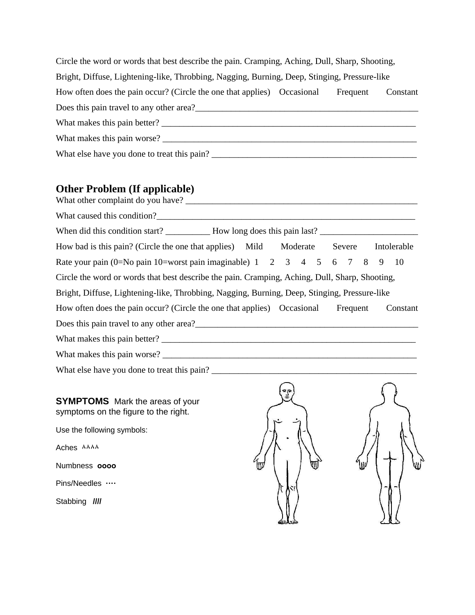| Circle the word or words that best describe the pain. Cramping, Aching, Dull, Sharp, Shooting, |  |          |          |  |  |
|------------------------------------------------------------------------------------------------|--|----------|----------|--|--|
| Bright, Diffuse, Lightening-like, Throbbing, Nagging, Burning, Deep, Stinging, Pressure-like   |  |          |          |  |  |
| How often does the pain occur? (Circle the one that applies) Occasional                        |  | Frequent | Constant |  |  |
| Does this pain travel to any other area?                                                       |  |          |          |  |  |
| What makes this pain better?                                                                   |  |          |          |  |  |
| What makes this pain worse?                                                                    |  |          |          |  |  |
| What else have you done to treat this pain?                                                    |  |          |          |  |  |

## **Other Problem (If applicable)**

| How bad is this pain? (Circle the one that applies) Mild Moderate Severe Intolerable           |          |
|------------------------------------------------------------------------------------------------|----------|
| Rate your pain (0=No pain 10=worst pain imaginable) 1 2 3 4 5 6 7 8 9                          | 10       |
| Circle the word or words that best describe the pain. Cramping, Aching, Dull, Sharp, Shooting, |          |
| Bright, Diffuse, Lightening-like, Throbbing, Nagging, Burning, Deep, Stinging, Pressure-like   |          |
| How often does the pain occur? (Circle the one that applies) Occasional Frequent               | Constant |
|                                                                                                |          |
|                                                                                                |          |
|                                                                                                |          |
|                                                                                                |          |
|                                                                                                |          |
| <b>SYMPTOMS</b> Mark the areas of your<br>symptoms on the figure to the right.                 |          |
| Use the following symbols:                                                                     |          |
| Aches AAAA                                                                                     |          |
| Numbness 0000                                                                                  |          |

Numbness **оооо** 

Pins/Needles **····** 

Stabbing **////**